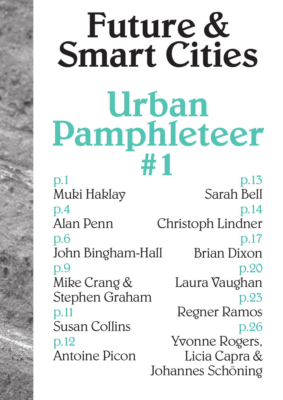## Future & Smart Cities Urban Pamphleteer #1

p.1 Muki Haklay p.4 Alan Penn p.6 John Bingham-Hall p.9 Mike Crang & Stephen Graham p.11 Susan Collins p.12 Antoine Picon p.13 Sarah Bell p.14 Christoph Lindner p.17 Brian Dixon p.20 Laura Vaughan p.23 Regner Ramos p.26 Yvonne Rogers, Licia Capra & Johannes Schöning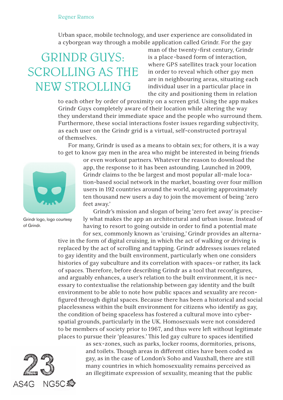## Regner Ramos

Urban space, mobile technology, and user experience are consolidated in a cyborgean way through a mobile application called Grindr. For the gay

## GRINDR GUYS: SCROLLING AS THE NEW STROLLING

man of the twenty-first century, Grindr is a place-based form of interaction, where GPS satellites track your location in order to reveal which other gay men are in neighbouring areas, situating each individual user in a particular place in the city and positioning them in relation

to each other by order of proximity on a screen grid. Using the app makes Grindr Guys completely aware of their location while altering the way they understand their immediate space and the people who surround them. Furthermore, these social interactions foster issues regarding subjectivity, as each user on the Grindr grid is a virtual, self-constructed portrayal of themselves.

For many, Grindr is used as a means to obtain sex; for others, it is a way to get to know gay men in the area who might be interested in being friends



Grindr logo, logo courtesy of Grindr.

or even workout partners. Whatever the reason to download the app, the response to it has been astounding. Launched in 2009, Grindr claims to the be largest and most popular all-male location-based social network in the market, boasting over four million users in 192 countries around the world, acquiring approximately ten thousand new users a day to join the movement of being 'zero feet away.'

Grindr's mission and slogan of being 'zero feet away' is precisely what makes the app an architectural and urban issue. Instead of having to resort to going outside in order to find a potential mate for sex, commonly known as 'cruising,' Grindr provides an alterna-

tive in the form of digital cruising, in which the act of walking or driving is replaced by the act of scrolling and tapping. Grindr addresses issues related to gay identity and the built environment, particularly when one considers histories of gay subculture and its correlation with spaces–or rather, its lack of spaces. Therefore, before describing Grindr as a tool that reconfigures, and arguably enhances, a user's relation to the built environment, it is necessary to contextualise the relationship between gay identity and the built environment to be able to note how public spaces and sexuality are reconfigured through digital spaces. Because there has been a historical and social placelessness within the built environment for citizens who identify as gay, the condition of being spaceless has fostered a cultural move into cyberspatial grounds, particularly in the UK. Homosexuals were not considered to be members of society prior to 1967, and thus were left without legitimate places to pursue their 'pleasures.' This led gay culture to spaces identified

> as sex-zones, such as parks, locker rooms, dormitories, prisons, and toilets. Though areas in different cities have been coded as gay, as in the case of London's Soho and Vauxhall, there are still many countries in which homosexuality remains perceived as an illegitimate expression of sexuality, meaning that the public

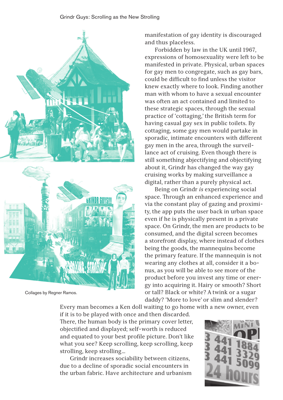

Collages by Regner Ramos.

manifestation of gay identity is discouraged and thus placeless.

Forbidden by law in the UK until 1967, expressions of homosexuality were left to be manifested in private. Physical, urban spaces for gay men to congregate, such as gay bars, could be difficult to find unless the visitor knew exactly where to look. Finding another man with whom to have a sexual encounter was often an act contained and limited to these strategic spaces, through the sexual practice of 'cottaging,' the British term for having casual gay sex in public toilets. By cottaging, some gay men would partake in sporadic, intimate encounters with different gay men in the area, through the surveillance act of cruising. Even though there is still something abjectifying and objectifying about it, Grindr has changed the way gay cruising works by making surveillance a digital, rather than a purely physical act.

Being on Grindr *is* experiencing social space. Through an enhanced experience and via the constant play of gazing and proximity, the app puts the user back in urban space even if he is physically present in a private space. On Grindr, the men are products to be consumed, and the digital screen becomes a storefront display, where instead of clothes being the goods, the mannequins become the primary feature. If the mannequin is not wearing any clothes at all, consider it a bonus, as you will be able to see more of the product before you invest any time or energy into acquiring it. Hairy or smooth? Short or tall? Black or white? A twink or a sugar daddy? 'More to love' or slim and slender?

Every man becomes a Ken doll waiting to go home with a new owner, even if it is to be played with once and then discarded. There, the human body is the primary cover letter, objectified and displayed; self-worth is reduced and equated to your best profile picture. Don't like what you see? Keep scrolling, keep scrolling, keep strolling, keep strolling…

Grindr increases sociability between citizens, due to a decline of sporadic social encounters in the urban fabric. Have architecture and urbanism